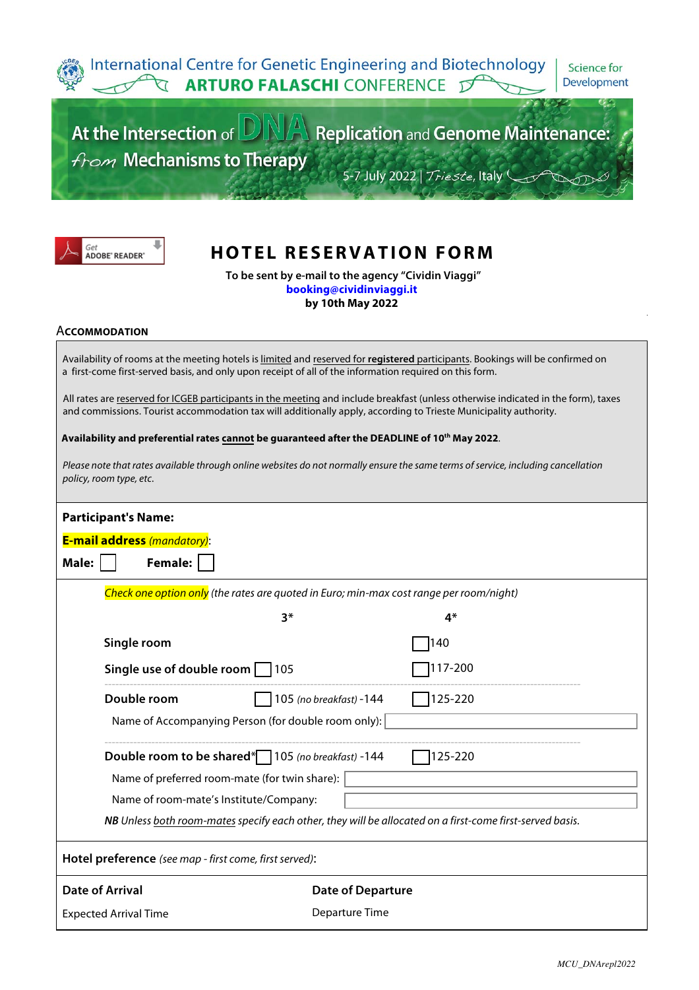